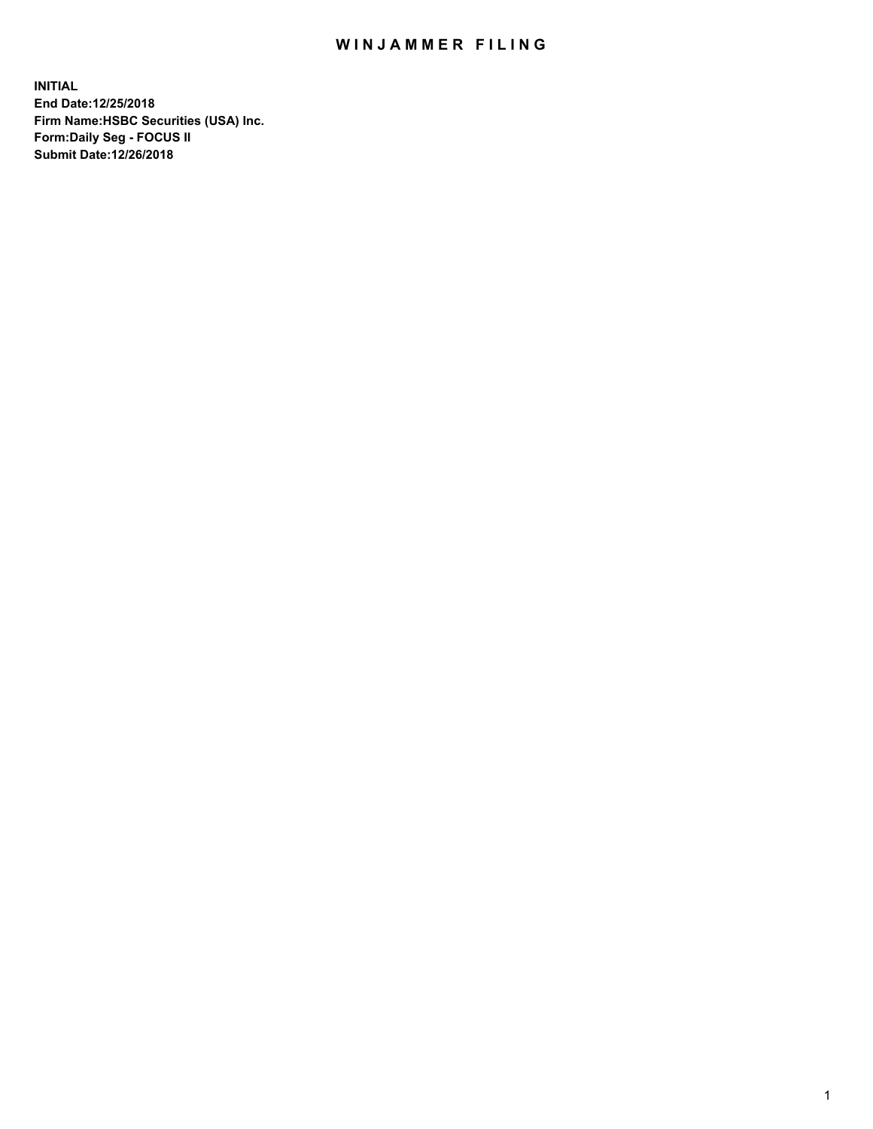## WIN JAMMER FILING

**INITIAL End Date:12/25/2018 Firm Name:HSBC Securities (USA) Inc. Form:Daily Seg - FOCUS II Submit Date:12/26/2018**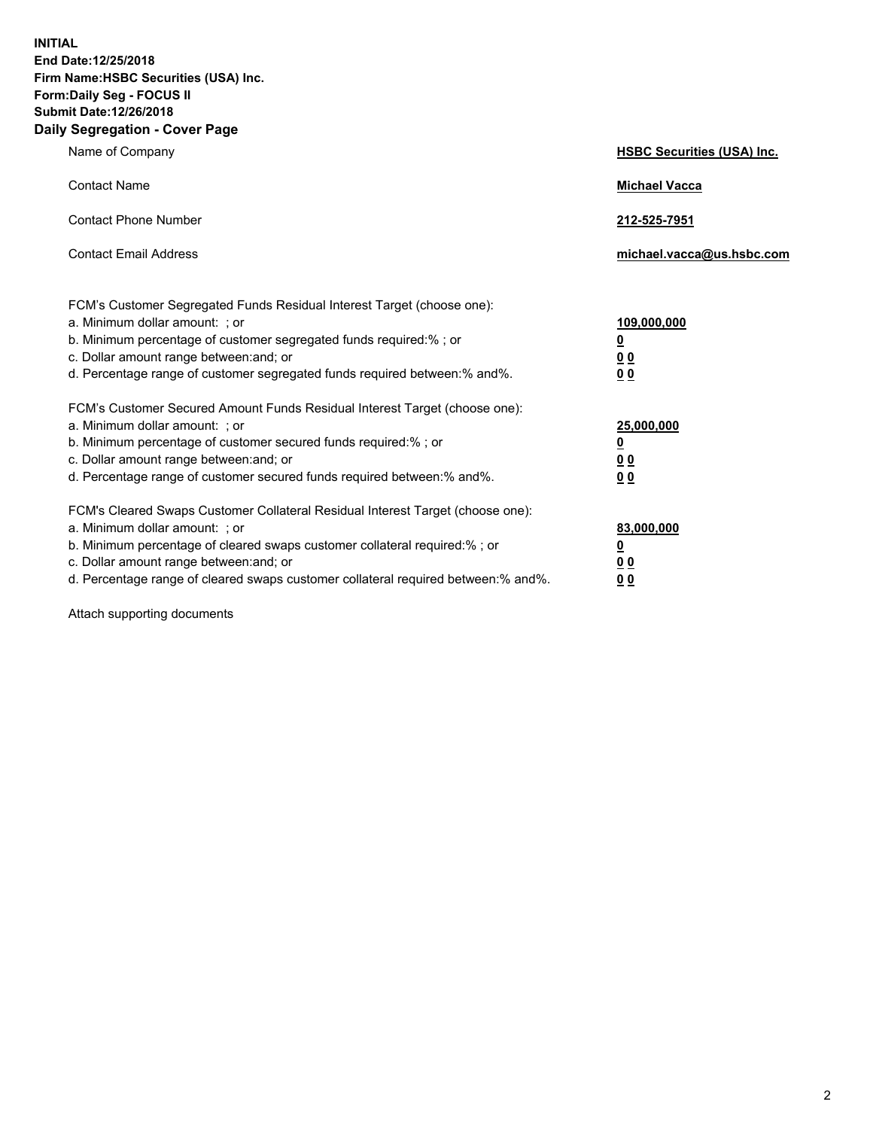**INITIAL End Date:12/25/2018 Firm Name:HSBC Securities (USA) Inc. Form:Daily Seg - FOCUS II Submit Date:12/26/2018 Daily Segregation - Cover Page**

| Name of Company                                                                                                                                                                                                                                                                                                                | <b>HSBC Securities (USA) Inc.</b>                                           |
|--------------------------------------------------------------------------------------------------------------------------------------------------------------------------------------------------------------------------------------------------------------------------------------------------------------------------------|-----------------------------------------------------------------------------|
| <b>Contact Name</b>                                                                                                                                                                                                                                                                                                            | <b>Michael Vacca</b>                                                        |
| <b>Contact Phone Number</b>                                                                                                                                                                                                                                                                                                    | 212-525-7951                                                                |
| <b>Contact Email Address</b>                                                                                                                                                                                                                                                                                                   | michael.vacca@us.hsbc.com                                                   |
| FCM's Customer Segregated Funds Residual Interest Target (choose one):<br>a. Minimum dollar amount: ; or<br>b. Minimum percentage of customer segregated funds required:% ; or<br>c. Dollar amount range between: and; or<br>d. Percentage range of customer segregated funds required between:% and%.                         | 109,000,000<br>$\underline{\mathbf{0}}$<br>0 <sub>0</sub><br>0 <sub>0</sub> |
| FCM's Customer Secured Amount Funds Residual Interest Target (choose one):<br>a. Minimum dollar amount: ; or<br>b. Minimum percentage of customer secured funds required:%; or<br>c. Dollar amount range between: and; or<br>d. Percentage range of customer secured funds required between:% and%.                            | 25,000,000<br><u>0</u><br>0 <sub>0</sub><br>00                              |
| FCM's Cleared Swaps Customer Collateral Residual Interest Target (choose one):<br>a. Minimum dollar amount: ; or<br>b. Minimum percentage of cleared swaps customer collateral required:% ; or<br>c. Dollar amount range between: and; or<br>d. Percentage range of cleared swaps customer collateral required between:% and%. | 83,000,000<br><u>0</u><br><u>00</u><br>00                                   |

Attach supporting documents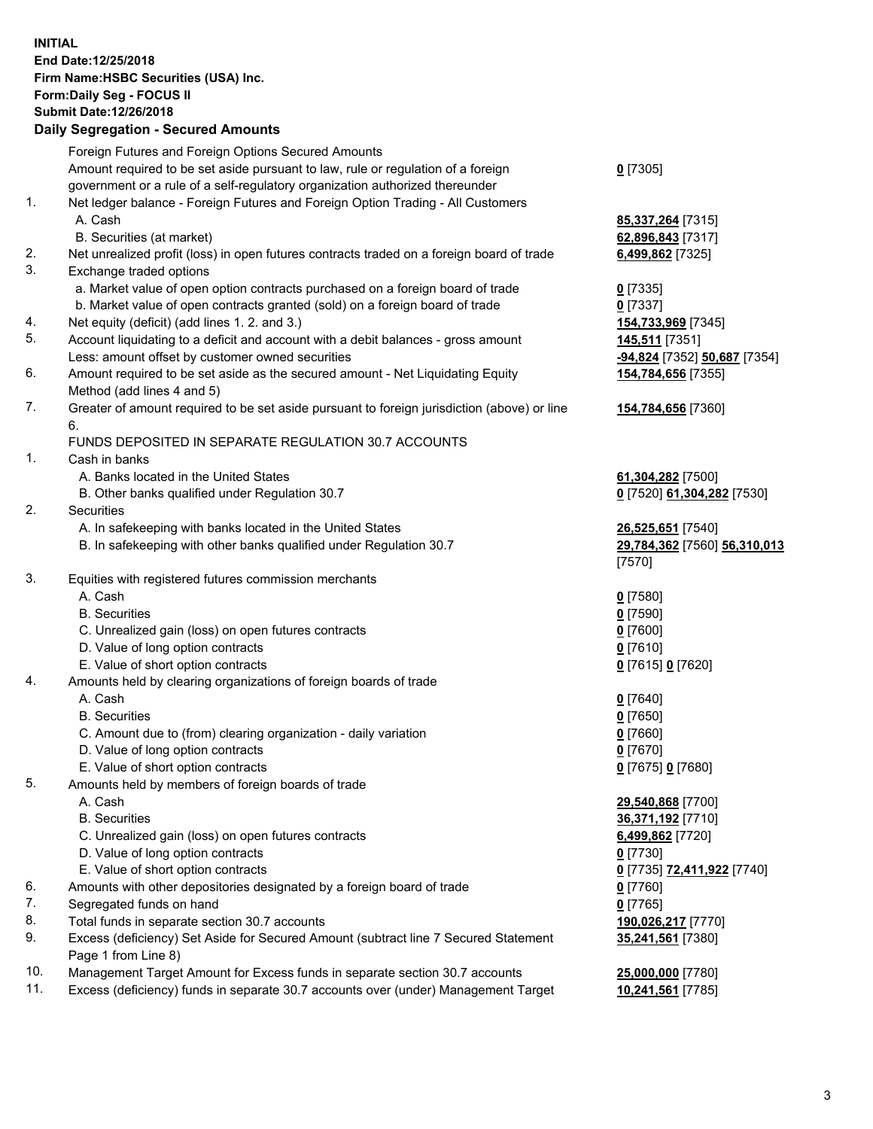**INITIAL End Date:12/25/2018 Firm Name:HSBC Securities (USA) Inc. Form:Daily Seg - FOCUS II Submit Date:12/26/2018 Daily Segregation - Secured Amounts** Foreign Futures and Foreign Options Secured Amounts Amount required to be set aside pursuant to law, rule or regulation of a foreign government or a rule of a self-regulatory organization authorized thereunder **0** [7305] 1. Net ledger balance - Foreign Futures and Foreign Option Trading - All Customers A. Cash **85,337,264** [7315] B. Securities (at market) **62,896,843** [7317] 2. Net unrealized profit (loss) in open futures contracts traded on a foreign board of trade **6,499,862** [7325] 3. Exchange traded options a. Market value of open option contracts purchased on a foreign board of trade **0** [7335] b. Market value of open contracts granted (sold) on a foreign board of trade **0** [7337] 4. Net equity (deficit) (add lines 1. 2. and 3.) **154,733,969** [7345] 5. Account liquidating to a deficit and account with a debit balances - gross amount **145,511** [7351] Less: amount offset by customer owned securities **-94,824** [7352] **50,687** [7354] 6. Amount required to be set aside as the secured amount - Net Liquidating Equity Method (add lines 4 and 5) **154,784,656** [7355] 7. Greater of amount required to be set aside pursuant to foreign jurisdiction (above) or line 6. **154,784,656** [7360] FUNDS DEPOSITED IN SEPARATE REGULATION 30.7 ACCOUNTS 1. Cash in banks A. Banks located in the United States **61,304,282** [7500] B. Other banks qualified under Regulation 30.7 **0** [7520] **61,304,282** [7530] 2. Securities A. In safekeeping with banks located in the United States **26,525,651** [7540] B. In safekeeping with other banks qualified under Regulation 30.7 **29,784,362** [7560] **56,310,013** [7570] 3. Equities with registered futures commission merchants A. Cash **0** [7580] B. Securities **0** [7590] C. Unrealized gain (loss) on open futures contracts **0** [7600] D. Value of long option contracts **0** [7610] E. Value of short option contracts **0** [7615] **0** [7620] 4. Amounts held by clearing organizations of foreign boards of trade A. Cash **0** [7640] B. Securities **0** [7650] C. Amount due to (from) clearing organization - daily variation **0** [7660] D. Value of long option contracts **0** [7670] E. Value of short option contracts **0** [7675] **0** [7680] 5. Amounts held by members of foreign boards of trade A. Cash **29,540,868** [7700] B. Securities **36,371,192** [7710] C. Unrealized gain (loss) on open futures contracts **6,499,862** [7720] D. Value of long option contracts **0** [7730] E. Value of short option contracts **0** [7735] **72,411,922** [7740] 6. Amounts with other depositories designated by a foreign board of trade **0** [7760] 7. Segregated funds on hand **0** [7765] 8. Total funds in separate section 30.7 accounts **190,026,217** [7770] 9. Excess (deficiency) Set Aside for Secured Amount (subtract line 7 Secured Statement Page 1 from Line 8) **35,241,561** [7380] 10. Management Target Amount for Excess funds in separate section 30.7 accounts **25,000,000** [7780]

11. Excess (deficiency) funds in separate 30.7 accounts over (under) Management Target **10,241,561** [7785]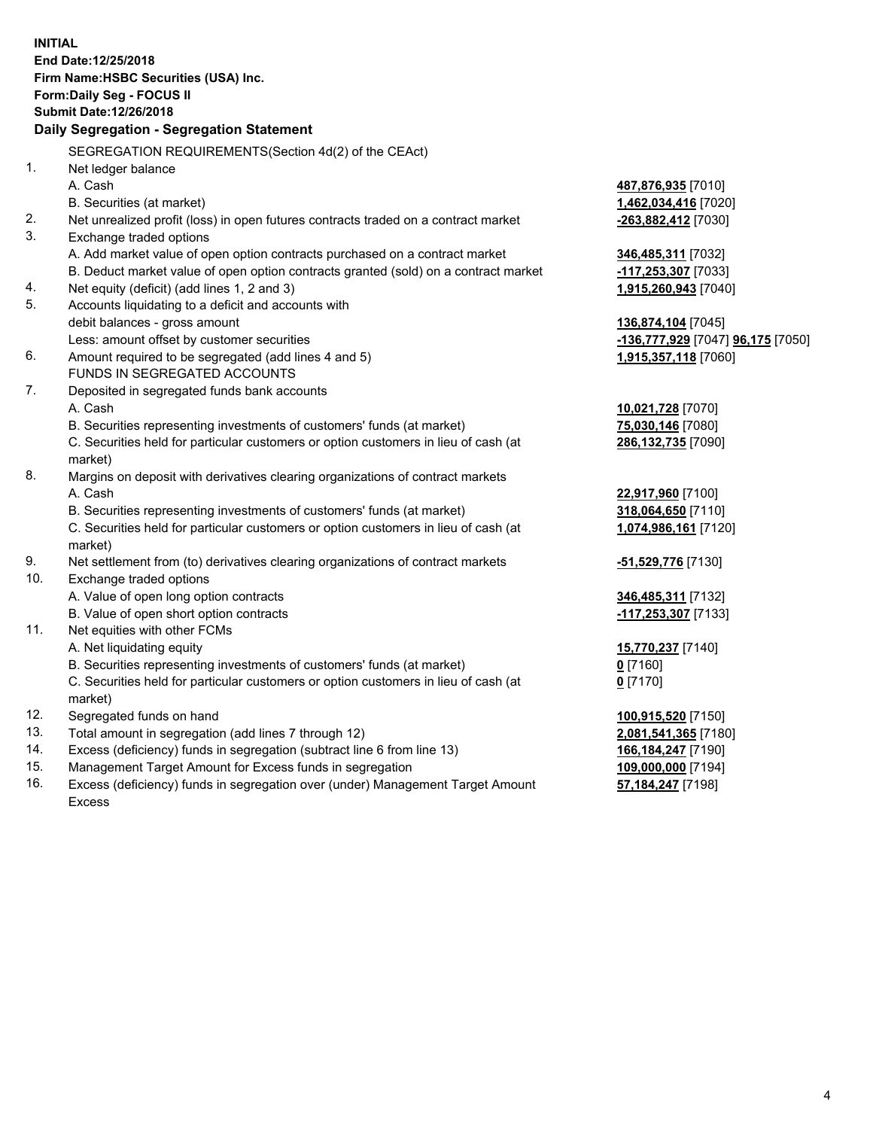|     | <b>INITIAL</b><br>End Date:12/25/2018<br>Firm Name: HSBC Securities (USA) Inc.<br>Form: Daily Seg - FOCUS II<br>Submit Date: 12/26/2018<br>Daily Segregation - Segregation Statement |                                   |
|-----|--------------------------------------------------------------------------------------------------------------------------------------------------------------------------------------|-----------------------------------|
|     | SEGREGATION REQUIREMENTS(Section 4d(2) of the CEAct)                                                                                                                                 |                                   |
| 1.  | Net ledger balance                                                                                                                                                                   |                                   |
|     | A. Cash                                                                                                                                                                              | 487,876,935 [7010]                |
|     | B. Securities (at market)                                                                                                                                                            | 1,462,034,416 [7020]              |
| 2.  | Net unrealized profit (loss) in open futures contracts traded on a contract market                                                                                                   | -263,882,412 [7030]               |
| 3.  | Exchange traded options                                                                                                                                                              |                                   |
|     | A. Add market value of open option contracts purchased on a contract market                                                                                                          | 346,485,311 [7032]                |
|     | B. Deduct market value of open option contracts granted (sold) on a contract market                                                                                                  | -117,253,307 [7033]               |
| 4.  | Net equity (deficit) (add lines 1, 2 and 3)                                                                                                                                          | 1,915,260,943 [7040]              |
| 5.  | Accounts liquidating to a deficit and accounts with                                                                                                                                  |                                   |
|     | debit balances - gross amount                                                                                                                                                        | 136,874,104 [7045]                |
|     | Less: amount offset by customer securities                                                                                                                                           | -136,777,929 [7047] 96,175 [7050] |
| 6.  | Amount required to be segregated (add lines 4 and 5)                                                                                                                                 | 1,915,357,118 [7060]              |
|     | FUNDS IN SEGREGATED ACCOUNTS                                                                                                                                                         |                                   |
| 7.  | Deposited in segregated funds bank accounts                                                                                                                                          |                                   |
|     | A. Cash                                                                                                                                                                              | 10,021,728 [7070]                 |
|     | B. Securities representing investments of customers' funds (at market)                                                                                                               | 75,030,146 [7080]                 |
|     | C. Securities held for particular customers or option customers in lieu of cash (at                                                                                                  | 286,132,735 [7090]                |
|     | market)                                                                                                                                                                              |                                   |
| 8.  | Margins on deposit with derivatives clearing organizations of contract markets                                                                                                       |                                   |
|     | A. Cash                                                                                                                                                                              | 22,917,960 [7100]                 |
|     | B. Securities representing investments of customers' funds (at market)                                                                                                               | 318,064,650 [7110]                |
|     | C. Securities held for particular customers or option customers in lieu of cash (at<br>market)                                                                                       | 1,074,986,161 [7120]              |
| 9.  | Net settlement from (to) derivatives clearing organizations of contract markets                                                                                                      | <u>-51,529,776</u> [7130]         |
| 10. | Exchange traded options                                                                                                                                                              |                                   |
|     | A. Value of open long option contracts                                                                                                                                               | 346,485,311 [7132]                |
|     | B. Value of open short option contracts                                                                                                                                              | -117,253,307 [7133]               |
| 11. | Net equities with other FCMs                                                                                                                                                         |                                   |
|     | A. Net liquidating equity                                                                                                                                                            | 15,770,237 [7140]                 |
|     | B. Securities representing investments of customers' funds (at market)                                                                                                               | 0 <sup>[7160]</sup>               |
|     | C. Securities held for particular customers or option customers in lieu of cash (at                                                                                                  | $0$ [7170]                        |
|     | market)                                                                                                                                                                              |                                   |
| 12. | Segregated funds on hand                                                                                                                                                             | 100,915,520 [7150]                |
| 13. | Total amount in segregation (add lines 7 through 12)                                                                                                                                 | 2,081,541,365 [7180]              |
| 14. | Excess (deficiency) funds in segregation (subtract line 6 from line 13)                                                                                                              | 166,184,247 [7190]                |
| 15. | Management Target Amount for Excess funds in segregation                                                                                                                             | 109,000,000 [7194]                |
| 16. | Excess (deficiency) funds in segregation over (under) Management Target Amount                                                                                                       | 57,184,247 [7198]                 |

16. Excess (deficiency) funds in segregation over (under) Management Target Amount Excess